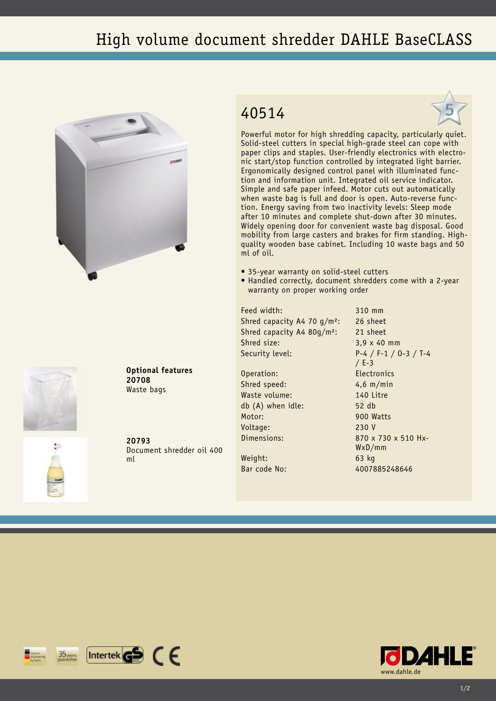## High volume document shredder DAHLE BaseCLASS







Powerful motor for high shredding capacity, particularly quiet. Solid-steel cutters in special high-grade steel can cope with paper clips and staples. User-friendly electronics with electronic start/stop function controlled by integrated light barrier. Ergonomically designed control panel with illuminated function and information unit. Integrated oil service indicator. Simple and safe paper infeed. Motor cuts out automatically when waste bag is full and door is open. Auto-reverse function. Energy saving from two inactivity levels: Sleep mode after 10 minutes and complete shut-down after 30 minutes. Widely opening door for convenient waste bag disposal. Good mobility from large casters and brakes for firm standing. Highquality wooden base cabinet. Including 10 waste bags and 50 ml of oil.

- 35-year warranty on solid-steel cutters
- Handled correctly, document shredders come with a 2-year warranty on proper working order

Feed width: 310 mm Shred capacity A4 70 g/m<sup>2</sup>: 26 sheet Shred capacity A4 80g/m²: 21 sheet Shred size: 3,9 x 40 mm

Operation: Electronics Shred speed: 4,6 m/min Waste volume: 140 Litre db (A) when idle: 52 db Motor: 900 Watts Voltage: 230 V

Weight: 63 kg Bar code No: 4007885248646

Security level: P-4 / F-1 / O-3 / T-4 / E-3 Dimensions: 870 x 730 x 510 Hx-WxD/mm





**20793** Document shredder oil 400 ml

**Optional features**

**20708** Waste bags